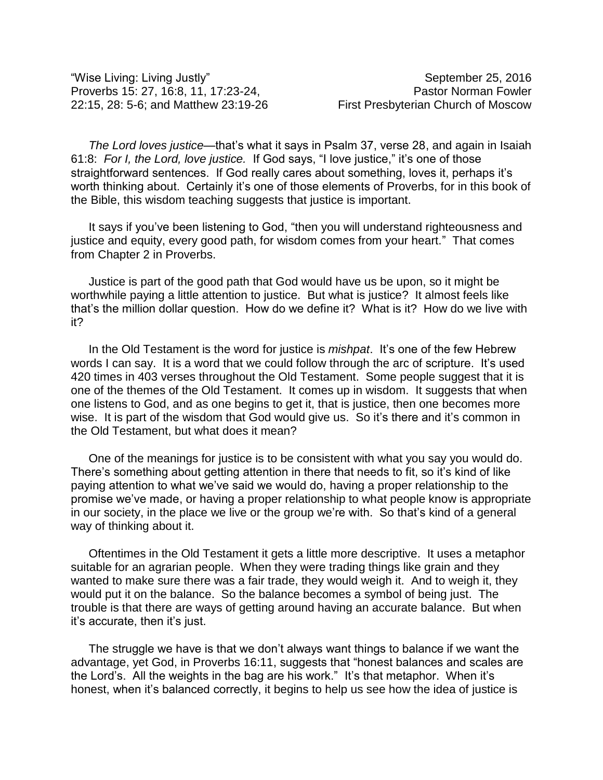*The Lord loves justice*—that's what it says in Psalm 37, verse 28, and again in Isaiah 61:8: *For I, the Lord, love justice.* If God says, "I love justice," it's one of those straightforward sentences. If God really cares about something, loves it, perhaps it's worth thinking about. Certainly it's one of those elements of Proverbs, for in this book of the Bible, this wisdom teaching suggests that justice is important.

It says if you've been listening to God, "then you will understand righteousness and justice and equity, every good path, for wisdom comes from your heart." That comes from Chapter 2 in Proverbs.

Justice is part of the good path that God would have us be upon, so it might be worthwhile paying a little attention to justice. But what is justice? It almost feels like that's the million dollar question. How do we define it? What is it? How do we live with it?

In the Old Testament is the word for justice is *mishpat*. It's one of the few Hebrew words I can say. It is a word that we could follow through the arc of scripture. It's used 420 times in 403 verses throughout the Old Testament. Some people suggest that it is one of the themes of the Old Testament. It comes up in wisdom. It suggests that when one listens to God, and as one begins to get it, that is justice, then one becomes more wise. It is part of the wisdom that God would give us. So it's there and it's common in the Old Testament, but what does it mean?

One of the meanings for justice is to be consistent with what you say you would do. There's something about getting attention in there that needs to fit, so it's kind of like paying attention to what we've said we would do, having a proper relationship to the promise we've made, or having a proper relationship to what people know is appropriate in our society, in the place we live or the group we're with. So that's kind of a general way of thinking about it.

Oftentimes in the Old Testament it gets a little more descriptive. It uses a metaphor suitable for an agrarian people. When they were trading things like grain and they wanted to make sure there was a fair trade, they would weigh it. And to weigh it, they would put it on the balance. So the balance becomes a symbol of being just. The trouble is that there are ways of getting around having an accurate balance. But when it's accurate, then it's just.

The struggle we have is that we don't always want things to balance if we want the advantage, yet God, in Proverbs 16:11, suggests that "honest balances and scales are the Lord's. All the weights in the bag are his work." It's that metaphor. When it's honest, when it's balanced correctly, it begins to help us see how the idea of justice is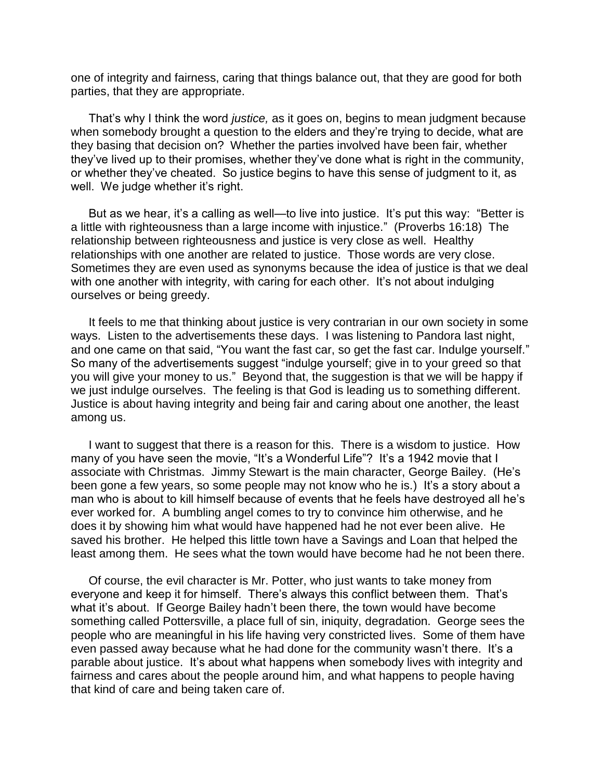one of integrity and fairness, caring that things balance out, that they are good for both parties, that they are appropriate.

That's why I think the word *justice,* as it goes on, begins to mean judgment because when somebody brought a question to the elders and they're trying to decide, what are they basing that decision on? Whether the parties involved have been fair, whether they've lived up to their promises, whether they've done what is right in the community, or whether they've cheated. So justice begins to have this sense of judgment to it, as well. We judge whether it's right.

But as we hear, it's a calling as well—to live into justice. It's put this way: "Better is a little with righteousness than a large income with injustice." (Proverbs 16:18) The relationship between righteousness and justice is very close as well. Healthy relationships with one another are related to justice. Those words are very close. Sometimes they are even used as synonyms because the idea of justice is that we deal with one another with integrity, with caring for each other. It's not about indulging ourselves or being greedy.

It feels to me that thinking about justice is very contrarian in our own society in some ways. Listen to the advertisements these days. I was listening to Pandora last night, and one came on that said, "You want the fast car, so get the fast car. Indulge yourself." So many of the advertisements suggest "indulge yourself; give in to your greed so that you will give your money to us." Beyond that, the suggestion is that we will be happy if we just indulge ourselves. The feeling is that God is leading us to something different. Justice is about having integrity and being fair and caring about one another, the least among us.

I want to suggest that there is a reason for this. There is a wisdom to justice. How many of you have seen the movie, "It's a Wonderful Life"? It's a 1942 movie that I associate with Christmas. Jimmy Stewart is the main character, George Bailey. (He's been gone a few years, so some people may not know who he is.) It's a story about a man who is about to kill himself because of events that he feels have destroyed all he's ever worked for. A bumbling angel comes to try to convince him otherwise, and he does it by showing him what would have happened had he not ever been alive. He saved his brother. He helped this little town have a Savings and Loan that helped the least among them. He sees what the town would have become had he not been there.

Of course, the evil character is Mr. Potter, who just wants to take money from everyone and keep it for himself. There's always this conflict between them. That's what it's about. If George Bailey hadn't been there, the town would have become something called Pottersville, a place full of sin, iniquity, degradation. George sees the people who are meaningful in his life having very constricted lives. Some of them have even passed away because what he had done for the community wasn't there. It's a parable about justice. It's about what happens when somebody lives with integrity and fairness and cares about the people around him, and what happens to people having that kind of care and being taken care of.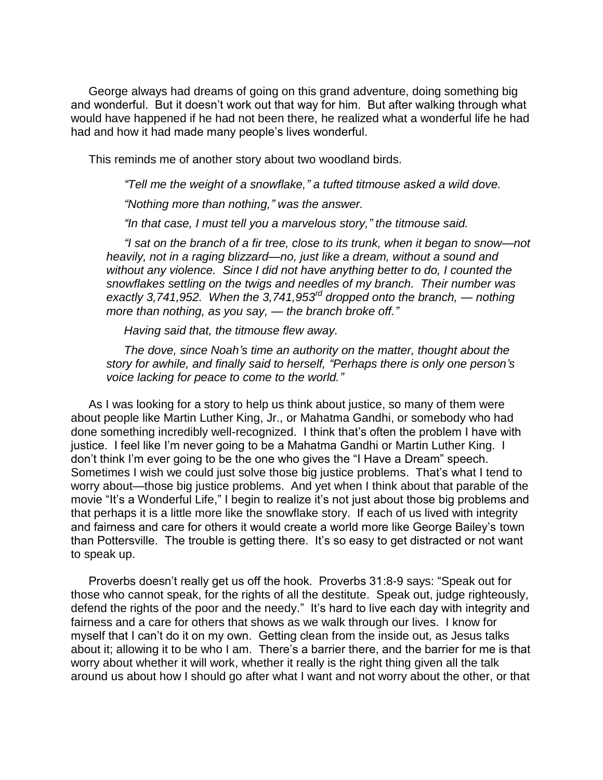George always had dreams of going on this grand adventure, doing something big and wonderful. But it doesn't work out that way for him. But after walking through what would have happened if he had not been there, he realized what a wonderful life he had had and how it had made many people's lives wonderful.

This reminds me of another story about two woodland birds.

*"Tell me the weight of a snowflake," a tufted titmouse asked a wild dove.*

*"Nothing more than nothing," was the answer.*

*"In that case, I must tell you a marvelous story," the titmouse said.*

*"I sat on the branch of a fir tree, close to its trunk, when it began to snow—not heavily, not in a raging blizzard—no, just like a dream, without a sound and without any violence. Since I did not have anything better to do, I counted the snowflakes settling on the twigs and needles of my branch. Their number was exactly 3,741,952. When the 3,741,953rd dropped onto the branch, — nothing more than nothing, as you say, — the branch broke off."*

*Having said that, the titmouse flew away.*

*The dove, since Noah's time an authority on the matter, thought about the story for awhile, and finally said to herself, "Perhaps there is only one person's voice lacking for peace to come to the world."*

As I was looking for a story to help us think about justice, so many of them were about people like Martin Luther King, Jr., or Mahatma Gandhi, or somebody who had done something incredibly well-recognized. I think that's often the problem I have with justice. I feel like I'm never going to be a Mahatma Gandhi or Martin Luther King. I don't think I'm ever going to be the one who gives the "I Have a Dream" speech. Sometimes I wish we could just solve those big justice problems. That's what I tend to worry about—those big justice problems. And yet when I think about that parable of the movie "It's a Wonderful Life," I begin to realize it's not just about those big problems and that perhaps it is a little more like the snowflake story. If each of us lived with integrity and fairness and care for others it would create a world more like George Bailey's town than Pottersville. The trouble is getting there. It's so easy to get distracted or not want to speak up.

Proverbs doesn't really get us off the hook. Proverbs 31:8-9 says: "Speak out for those who cannot speak, for the rights of all the destitute. Speak out, judge righteously, defend the rights of the poor and the needy." It's hard to live each day with integrity and fairness and a care for others that shows as we walk through our lives. I know for myself that I can't do it on my own. Getting clean from the inside out, as Jesus talks about it; allowing it to be who I am. There's a barrier there, and the barrier for me is that worry about whether it will work, whether it really is the right thing given all the talk around us about how I should go after what I want and not worry about the other, or that